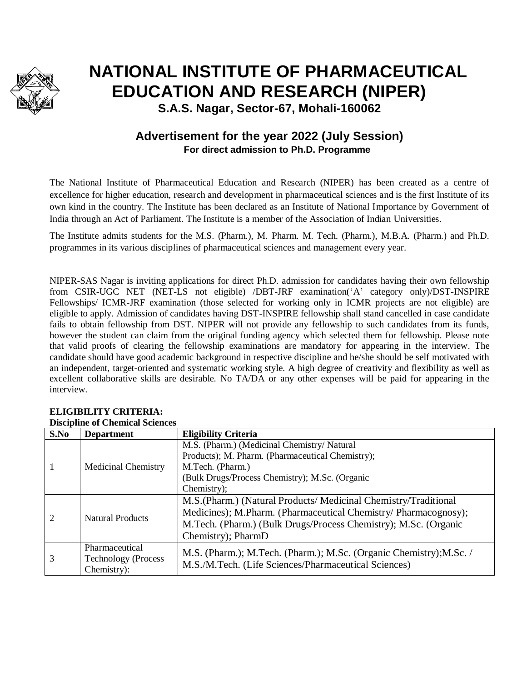

# **NATIONAL INSTITUTE OF PHARMACEUTICAL EDUCATION AND RESEARCH (NIPER)**

**S.A.S. Nagar, Sector-67, Mohali-160062**

## **Advertisement for the year 2022 (July Session) For direct admission to Ph.D. Programme**

The National Institute of Pharmaceutical Education and Research (NIPER) has been created as a centre of excellence for higher education, research and development in pharmaceutical sciences and is the first Institute of its own kind in the country. The Institute has been declared as an Institute of National Importance by Government of India through an Act of Parliament. The Institute is a member of the Association of Indian Universities.

The Institute admits students for the M.S. (Pharm.), M. Pharm. M. Tech. (Pharm.), M.B.A. (Pharm.) and Ph.D. programmes in its various disciplines of pharmaceutical sciences and management every year.

NIPER-SAS Nagar is inviting applications for direct Ph.D. admission for candidates having their own fellowship from CSIR-UGC NET (NET-LS not eligible) /DBT-JRF examination('A' category only)/DST-INSPIRE Fellowships/ ICMR-JRF examination (those selected for working only in ICMR projects are not eligible) are eligible to apply. Admission of candidates having DST-INSPIRE fellowship shall stand cancelled in case candidate fails to obtain fellowship from DST. NIPER will not provide any fellowship to such candidates from its funds, however the student can claim from the original funding agency which selected them for fellowship. Please note that valid proofs of clearing the fellowship examinations are mandatory for appearing in the interview. The candidate should have good academic background in respective discipline and he/she should be self motivated with an independent, target-oriented and systematic working style. A high degree of creativity and flexibility as well as excellent collaborative skills are desirable. No TA/DA or any other expenses will be paid for appearing in the interview.

|                | Discipline of Chemical Sciences |                                                                     |  |  |
|----------------|---------------------------------|---------------------------------------------------------------------|--|--|
| S.No           | <b>Department</b>               | <b>Eligibility Criteria</b>                                         |  |  |
|                | <b>Medicinal Chemistry</b>      | M.S. (Pharm.) (Medicinal Chemistry/Natural                          |  |  |
|                |                                 | Products); M. Pharm. (Pharmaceutical Chemistry);                    |  |  |
|                |                                 | M.Tech. (Pharm.)                                                    |  |  |
|                |                                 | (Bulk Drugs/Process Chemistry); M.Sc. (Organic                      |  |  |
|                |                                 | Chemistry);                                                         |  |  |
| $\overline{2}$ | <b>Natural Products</b>         | M.S. (Pharm.) (Natural Products/ Medicinal Chemistry/Traditional    |  |  |
|                |                                 | Medicines); M.Pharm. (Pharmaceutical Chemistry/ Pharmacognosy);     |  |  |
|                |                                 | M.Tech. (Pharm.) (Bulk Drugs/Process Chemistry); M.Sc. (Organic     |  |  |
|                |                                 | Chemistry); PharmD                                                  |  |  |
| 3              | Pharmaceutical                  |                                                                     |  |  |
|                | <b>Technology (Process</b>      | M.S. (Pharm.); M.Tech. (Pharm.); M.Sc. (Organic Chemistry); M.Sc. / |  |  |
|                | Chemistry):                     | M.S./M.Tech. (Life Sciences/Pharmaceutical Sciences)                |  |  |

#### **ELIGIBILITY CRITERIA: Discipline of Chemical Sciences**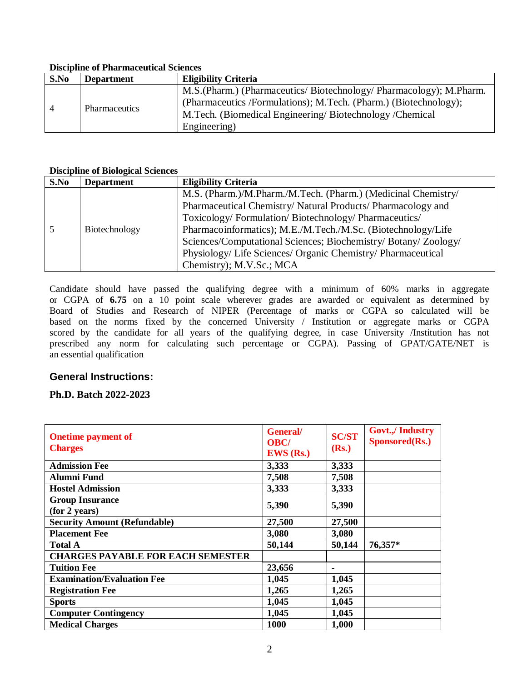#### **Discipline of Pharmaceutical Sciences**

| S.No | <b>Department</b>    | <b>Eligibility Criteria</b>                                                                                                                                                                                      |
|------|----------------------|------------------------------------------------------------------------------------------------------------------------------------------------------------------------------------------------------------------|
| 4    | <b>Pharmaceutics</b> | M.S. (Pharm.) (Pharmaceutics/Biotechnology/Pharmacology); M.Pharm.<br>(Pharmaceutics /Formulations); M.Tech. (Pharm.) (Biotechnology);<br>M.Tech. (Biomedical Engineering/Biotechnology/Chemical<br>Engineering) |

#### **Discipline of Biological Sciences**

| S.No | <b>Department</b> | <b>Eligibility Criteria</b>                                     |
|------|-------------------|-----------------------------------------------------------------|
|      |                   | M.S. (Pharm.)/M.Pharm./M.Tech. (Pharm.) (Medicinal Chemistry/   |
|      |                   | Pharmaceutical Chemistry/Natural Products/Pharmacology and      |
|      |                   | Toxicology/Formulation/Biotechnology/Pharmaceutics/             |
|      | Biotechnology     | Pharmacoinformatics); M.E./M.Tech./M.Sc. (Biotechnology/Life    |
|      |                   | Sciences/Computational Sciences; Biochemistry/ Botany/ Zoology/ |
|      |                   | Physiology/ Life Sciences/ Organic Chemistry/ Pharmaceutical    |
|      |                   | Chemistry); M.V.Sc.; MCA                                        |

Candidate should have passed the qualifying degree with a minimum of 60% marks in aggregate or CGPA of **6.75** on a 10 point scale wherever grades are awarded or equivalent as determined by Board of Studies and Research of NIPER (Percentage of marks or CGPA so calculated will be based on the norms fixed by the concerned University / Institution or aggregate marks or CGPA scored by the candidate for all years of the qualifying degree, in case University /Institution has not prescribed any norm for calculating such percentage or CGPA). Passing of GPAT/GATE/NET is an essential qualification

#### **General Instructions:**

#### **Ph.D. Batch 2022-2023**

| <b>Onetime payment of</b><br><b>Charges</b> | <b>General</b><br><b>OBC/</b><br>$EWS$ (Rs.) | <b>SC/ST</b><br>(Rs.) | <b>Govt.,/ Industry</b><br>Sponsored(Rs.) |
|---------------------------------------------|----------------------------------------------|-----------------------|-------------------------------------------|
| <b>Admission Fee</b>                        | 3,333                                        | 3,333                 |                                           |
| <b>Alumni Fund</b>                          | 7,508                                        | 7,508                 |                                           |
| <b>Hostel Admission</b>                     | 3,333                                        | 3,333                 |                                           |
| <b>Group Insurance</b><br>(for 2 years)     | 5,390                                        | 5,390                 |                                           |
| <b>Security Amount (Refundable)</b>         | 27,500                                       | 27,500                |                                           |
| <b>Placement Fee</b>                        | 3,080                                        | 3,080                 |                                           |
| <b>Total A</b>                              | 50,144                                       | 50,144                | 76,357*                                   |
| <b>CHARGES PAYABLE FOR EACH SEMESTER</b>    |                                              |                       |                                           |
| <b>Tuition Fee</b>                          | 23,656                                       | $\blacksquare$        |                                           |
| <b>Examination/Evaluation Fee</b>           | 1,045                                        | 1,045                 |                                           |
| <b>Registration Fee</b>                     | 1,265                                        | 1,265                 |                                           |
| <b>Sports</b>                               | 1,045                                        | 1,045                 |                                           |
| <b>Computer Contingency</b>                 | 1,045                                        | 1,045                 |                                           |
| <b>Medical Charges</b>                      | <b>1000</b>                                  | 1,000                 |                                           |